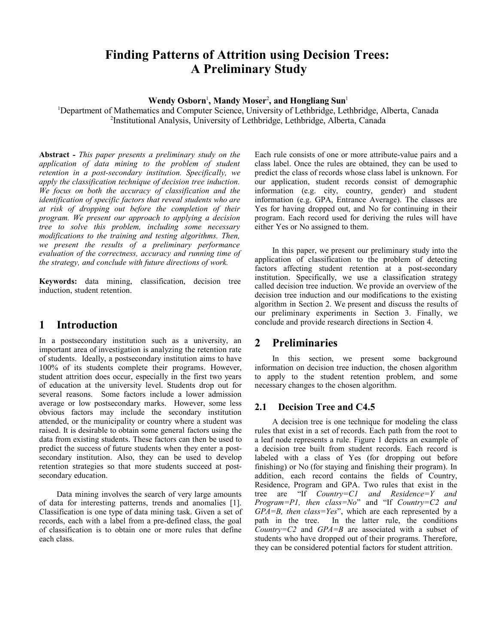# **Finding Patterns of Attrition using Decision Trees: A Preliminary Study**

**Wendy Osborn**<sup>1</sup> **, Mandy Moser**<sup>2</sup> **, and Hongliang Sun**<sup>1</sup>

<sup>1</sup>Department of Mathematics and Computer Science, University of Lethbridge, Lethbridge, Alberta, Canada 2 Institutional Analysis, University of Lethbridge, Lethbridge, Alberta, Canada

**Abstract** *- This paper presents a preliminary study on the application of data mining to the problem of student retention in a post-secondary institution. Specifically, we apply the classification technique of decision tree induction. We focus on both the accuracy of classification and the identification of specific factors that reveal students who are at risk of dropping out before the completion of their program. We present our approach to applying a decision tree to solve this problem, including some necessary modifications to the training and testing algorithms. Then, we present the results of a preliminary performance evaluation of the correctness, accuracy and running time of the strategy, and conclude with future directions of work.* 

**Keywords:** data mining, classification, decision tree induction, student retention.

## **1 Introduction**

In a postsecondary institution such as a university, an important area of investigation is analyzing the retention rate of students. Ideally, a postsecondary institution aims to have 100% of its students complete their programs. However, student attrition does occur, especially in the first two years of education at the university level. Students drop out for several reasons. Some factors include a lower admission average or low postsecondary marks. However, some less obvious factors may include the secondary institution attended, or the municipality or country where a student was raised. It is desirable to obtain some general factors using the data from existing students. These factors can then be used to predict the success of future students when they enter a postsecondary institution. Also, they can be used to develop retention strategies so that more students succeed at postsecondary education.

Data mining involves the search of very large amounts of data for interesting patterns, trends and anomalies [1]. Classification is one type of data mining task. Given a set of records, each with a label from a pre-defined class, the goal of classification is to obtain one or more rules that define each class.

Each rule consists of one or more attribute-value pairs and a class label. Once the rules are obtained, they can be used to predict the class of records whose class label is unknown. For our application, student records consist of demographic information (e.g. city, country, gender) and student information (e.g. GPA, Entrance Average). The classes are Yes for having dropped out, and No for continuing in their program. Each record used for deriving the rules will have either Yes or No assigned to them.

In this paper, we present our preliminary study into the application of classification to the problem of detecting factors affecting student retention at a post-secondary institution. Specifically, we use a classification strategy called decision tree induction. We provide an overview of the decision tree induction and our modifications to the existing algorithm in Section 2. We present and discuss the results of our preliminary experiments in Section 3. Finally, we conclude and provide research directions in Section 4.

## **2 Preliminaries**

In this section, we present some background information on decision tree induction, the chosen algorithm to apply to the student retention problem, and some necessary changes to the chosen algorithm.

### **2.1 Decision Tree and C4.5**

A decision tree is one technique for modeling the class rules that exist in a set of records. Each path from the root to a leaf node represents a rule. [Figure 1](#page-1-0) depicts an example of a decision tree built from student records. Each record is labeled with a class of Yes (for dropping out before finishing) or No (for staying and finishing their program). In addition, each record contains the fields of Country, Residence, Program and GPA. Two rules that exist in the tree are "If *Country=C1 and Residence=Y and Program=P1, then class=No*" and "If *Country=C2 and GPA=B, then class=Yes*", which are each represented by a path in the tree. In the latter rule, the conditions *Country=C2* and *GPA=B* are associated with a subset of students who have dropped out of their programs. Therefore, they can be considered potential factors for student attrition.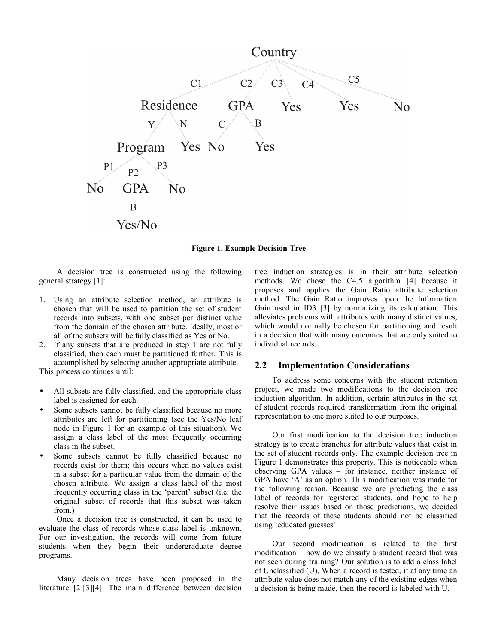

<span id="page-1-0"></span>**Figure 1. Example Decision Tree**

A decision tree is constructed using the following general strategy [1]:

- 1. Using an attribute selection method, an attribute is chosen that will be used to partition the set of student records into subsets, with one subset per distinct value from the domain of the chosen attribute. Ideally, most or all of the subsets will be fully classified as Yes or No.
- 2. If any subsets that are produced in step 1 are not fully classified, then each must be partitioned further. This is accomplished by selecting another appropriate attribute.

This process continues until:

- All subsets are fully classified, and the appropriate class label is assigned for each.
- Some subsets cannot be fully classified because no more attributes are left for partitioning (see the Yes/No leaf node in [Figure 1](#page-1-0) for an example of this situation). We assign a class label of the most frequently occurring class in the subset.
- Some subsets cannot be fully classified because no records exist for them; this occurs when no values exist in a subset for a particular value from the domain of the chosen attribute. We assign a class label of the most frequently occurring class in the 'parent' subset (i.e. the original subset of records that this subset was taken from.)

Once a decision tree is constructed, it can be used to evaluate the class of records whose class label is unknown. For our investigation, the records will come from future students when they begin their undergraduate degree programs.

Many decision trees have been proposed in the literature [2][3][4]. The main difference between decision tree induction strategies is in their attribute selection methods. We chose the C4.5 algorithm [4] because it proposes and applies the Gain Ratio attribute selection method. The Gain Ratio improves upon the Information Gain used in ID3 [3] by normalizing its calculation. This alleviates problems with attributes with many distinct values, which would normally be chosen for partitioning and result in a decision that with many outcomes that are only suited to individual records.

#### **2.2 Implementation Considerations**

To address some concerns with the student retention project, we made two modifications to the decision tree induction algorithm. In addition, certain attributes in the set of student records required transformation from the original representation to one more suited to our purposes.

Our first modification to the decision tree induction strategy is to create branches for attribute values that exist in the set of student records only. The example decision tree in [Figure 1](#page-1-0) demonstrates this property. This is noticeable when observing GPA values – for instance, neither instance of GPA have 'A' as an option. This modification was made for the following reason. Because we are predicting the class label of records for registered students, and hope to help resolve their issues based on those predictions, we decided that the records of these students should not be classified using 'educated guesses'.

Our second modification is related to the first modification – how do we classify a student record that was not seen during training? Our solution is to add a class label of Unclassified (U). When a record is tested, if at any time an attribute value does not match any of the existing edges when a decision is being made, then the record is labeled with U.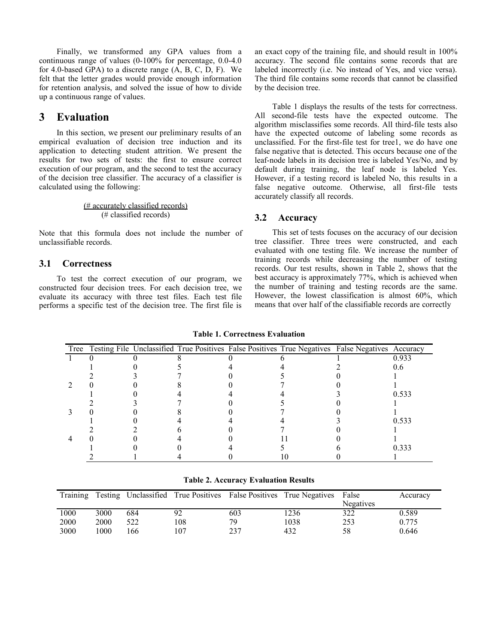Finally, we transformed any GPA values from a continuous range of values (0-100% for percentage, 0.0-4.0 for 4.0-based GPA) to a discrete range (A, B, C, D, F). We felt that the letter grades would provide enough information for retention analysis, and solved the issue of how to divide up a continuous range of values.

## **3 Evaluation**

In this section, we present our preliminary results of an empirical evaluation of decision tree induction and its application to detecting student attrition. We present the results for two sets of tests: the first to ensure correct execution of our program, and the second to test the accuracy of the decision tree classifier. The accuracy of a classifier is calculated using the following:

> (# accurately classified records) (# classified records)

Note that this formula does not include the number of unclassifiable records.

#### **3.1 Correctness**

To test the correct execution of our program, we constructed four decision trees. For each decision tree, we evaluate its accuracy with three test files. Each test file performs a specific test of the decision tree. The first file is an exact copy of the training file, and should result in 100% accuracy. The second file contains some records that are labeled incorrectly (i.e. No instead of Yes, and vice versa). The third file contains some records that cannot be classified by the decision tree.

[Table 1](#page-2-1) displays the results of the tests for correctness. All second-file tests have the expected outcome. The algorithm misclassifies some records. All third-file tests also have the expected outcome of labeling some records as unclassified. For the first-file test for tree1, we do have one false negative that is detected. This occurs because one of the leaf-node labels in its decision tree is labeled Yes/No, and by default during training, the leaf node is labeled Yes. However, if a testing record is labeled No, this results in a false negative outcome. Otherwise, all first-file tests accurately classify all records.

#### **3.2 Accuracy**

This set of tests focuses on the accuracy of our decision tree classifier. Three trees were constructed, and each evaluated with one testing file. We increase the number of training records while decreasing the number of testing records. Our test results, shown in [Table 2,](#page-2-0) shows that the best accuracy is approximately 77%, which is achieved when the number of training and testing records are the same. However, the lowest classification is almost 60%, which means that over half of the classifiable records are correctly

|  |  |    | Tree Testing File Unclassified True Positives False Positives True Negatives False Negatives Accuracy |       |
|--|--|----|-------------------------------------------------------------------------------------------------------|-------|
|  |  |    |                                                                                                       | 0.933 |
|  |  |    |                                                                                                       |       |
|  |  |    |                                                                                                       |       |
|  |  |    |                                                                                                       |       |
|  |  |    |                                                                                                       | 0.533 |
|  |  |    |                                                                                                       |       |
|  |  |    |                                                                                                       |       |
|  |  |    |                                                                                                       | 0.533 |
|  |  |    |                                                                                                       |       |
|  |  |    |                                                                                                       |       |
|  |  |    |                                                                                                       | 0.333 |
|  |  | ΙU |                                                                                                       |       |

<span id="page-2-1"></span>**Table 1. Correctness Evaluation**

<span id="page-2-0"></span>**Table 2. Accuracy Evaluation Results**

| Training |      |     |     |     | Testing Unclassified True Positives False Positives True Negatives | False     | Accuracy |
|----------|------|-----|-----|-----|--------------------------------------------------------------------|-----------|----------|
|          |      |     |     |     |                                                                    | Negatives |          |
| 1000     | 3000 | 684 | 92  | 603 | 236                                                                | 322       | 0.589    |
| 2000     | 2000 | 522 | 108 | 79  | 1038                                                               | 253       | 0.775    |
| 3000     | 1000 | 166 | 107 | 237 | 432                                                                | 58        | 0.646    |